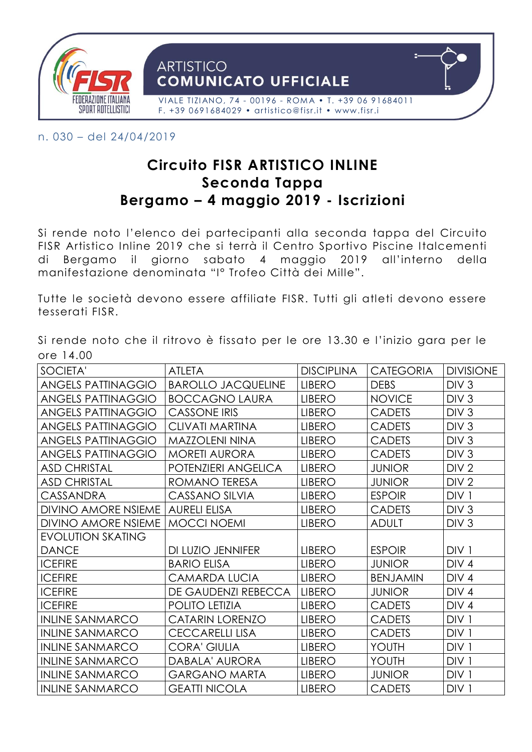

n. 030 – del 24/04/2019

## **Circuito FISR ARTISTICO INLINE Seconda Tappa Bergamo – 4 maggio 2019 - Iscrizioni**

Si rende noto l'elenco dei partecipanti alla seconda tappa del Circuito FISR Artistico Inline 2019 che si terrà il Centro Sportivo Piscine Italcementi di Bergamo il giorno sabato 4 maggio 2019 all'interno della manifestazione denominata "I° Trofeo Città dei Mille".

Tutte le società devono essere affiliate FISR. Tutti gli atleti devono essere tesserati FISR.

Si rende noto che il ritrovo è fissato per le ore 13.30 e l'inizio gara per le ore 14.00

| SOCIETA'                   | <b>ATLETA</b>             | <b>DISCIPLINA</b> | <b>CATEGORIA</b> | <b>DIVISIONE</b> |
|----------------------------|---------------------------|-------------------|------------------|------------------|
| <b>ANGELS PATTINAGGIO</b>  | <b>BAROLLO JACQUELINE</b> | <b>LIBERO</b>     | <b>DEBS</b>      | DIV <sub>3</sub> |
| <b>ANGELS PATTINAGGIO</b>  | <b>BOCCAGNO LAURA</b>     | <b>LIBERO</b>     | <b>NOVICE</b>    | DIV <sub>3</sub> |
| <b>ANGELS PATTINAGGIO</b>  | <b>CASSONE IRIS</b>       | <b>LIBERO</b>     | <b>CADETS</b>    | DIV <sub>3</sub> |
| <b>ANGELS PATTINAGGIO</b>  | <b>CLIVATI MARTINA</b>    | <b>LIBERO</b>     | <b>CADETS</b>    | DIV <sub>3</sub> |
| <b>ANGELS PATTINAGGIO</b>  | <b>MAZZOLENI NINA</b>     | <b>LIBERO</b>     | <b>CADETS</b>    | DIV <sub>3</sub> |
| <b>ANGELS PATTINAGGIO</b>  | <b>MORETI AURORA</b>      | <b>LIBERO</b>     | <b>CADETS</b>    | DIV <sub>3</sub> |
| <b>ASD CHRISTAL</b>        | POTENZIERI ANGELICA       | <b>LIBERO</b>     | <b>JUNIOR</b>    | DIV <sub>2</sub> |
| <b>ASD CHRISTAL</b>        | ROMANO TERESA             | <b>LIBERO</b>     | <b>JUNIOR</b>    | DIV <sub>2</sub> |
| Cassandra                  | <b>CASSANO SILVIA</b>     | <b>LIBERO</b>     | <b>ESPOIR</b>    | DIV <sub>1</sub> |
| <b>DIVINO AMORE NSIEME</b> | <b>AURELI ELISA</b>       | <b>LIBERO</b>     | <b>CADETS</b>    | DIV <sub>3</sub> |
| <b>DIVINO AMORE NSIEME</b> | MOCCI NOEMI               | <b>LIBERO</b>     | <b>ADULT</b>     | DIV <sub>3</sub> |
| <b>EVOLUTION SKATING</b>   |                           |                   |                  |                  |
| <b>DANCE</b>               | DI LUZIO JENNIFER         | <b>LIBERO</b>     | <b>ESPOIR</b>    | DIV <sub>1</sub> |
| <b>ICEFIRE</b>             | <b>BARIO ELISA</b>        | <b>LIBERO</b>     | <b>JUNIOR</b>    | DIV <sub>4</sub> |
| <b>ICEFIRE</b>             | <b>CAMARDA LUCIA</b>      | <b>LIBERO</b>     | <b>BENJAMIN</b>  | DIV <sub>4</sub> |
| <b>ICEFIRE</b>             | DE GAUDENZI REBECCA       | <b>LIBERO</b>     | <b>JUNIOR</b>    | DIV <sub>4</sub> |
| <b>ICEFIRE</b>             | <b>POLITO LETIZIA</b>     | <b>LIBERO</b>     | <b>CADETS</b>    | DIV <sub>4</sub> |
| <b>INLINE SANMARCO</b>     | <b>CATARIN LORENZO</b>    | <b>LIBERO</b>     | <b>CADETS</b>    | DIV <sub>1</sub> |
| <b>INLINE SANMARCO</b>     | <b>CECCARELLI LISA</b>    | <b>LIBERO</b>     | <b>CADETS</b>    | DIV <sub>1</sub> |
| <b>INLINE SANMARCO</b>     | <b>CORA' GIULIA</b>       | <b>LIBERO</b>     | YOUTH            | DIV <sub>1</sub> |
| <b>INLINE SANMARCO</b>     | DABALA' AURORA            | <b>LIBERO</b>     | YOUTH            | DIV <sub>1</sub> |
| <b>INLINE SANMARCO</b>     | <b>GARGANO MARTA</b>      | <b>LIBERO</b>     | <b>JUNIOR</b>    | DIV <sub>1</sub> |
| <b>INLINE SANMARCO</b>     | <b>GEATTI NICOLA</b>      | <b>LIBERO</b>     | <b>CADETS</b>    | DIV <sub>1</sub> |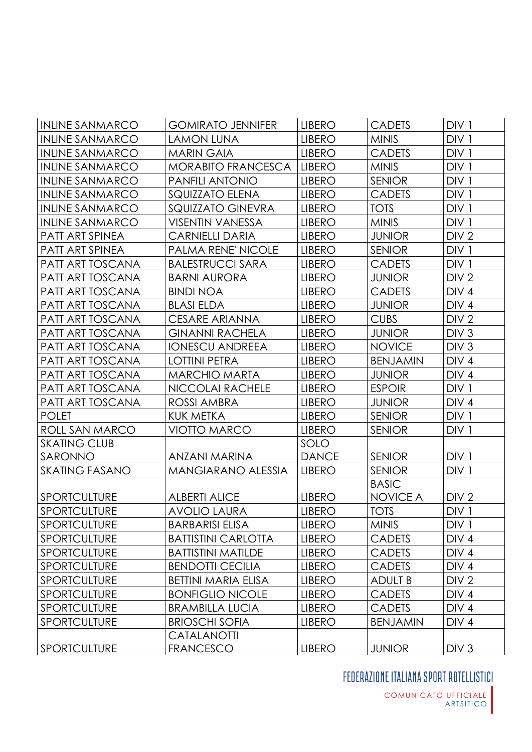| <b>INLINE SANMARCO</b> | <b>GOMIRATO JENNIFER</b>   | <b>LIBERO</b> | <b>CADETS</b>   | DIV <sub>1</sub> |
|------------------------|----------------------------|---------------|-----------------|------------------|
| <b>INLINE SANMARCO</b> | <b>LAMON LUNA</b>          | <b>LIBERO</b> | <b>MINIS</b>    | DIV <sub>1</sub> |
| <b>INLINE SANMARCO</b> | <b>MARIN GAIA</b>          | <b>LIBERO</b> | <b>CADETS</b>   | DIV <sub>1</sub> |
| <b>INLINE SANMARCO</b> | MORABITO FRANCESCA         | <b>LIBERO</b> | <b>MINIS</b>    | DIV <sub>1</sub> |
| <b>INLINE SANMARCO</b> | PANFILI ANTONIO            | <b>LIBERO</b> | <b>SENIOR</b>   | DIV <sub>1</sub> |
| <b>INLINE SANMARCO</b> | <b>SQUIZZATO ELENA</b>     | <b>LIBERO</b> | <b>CADETS</b>   | DIV <sub>1</sub> |
| <b>INLINE SANMARCO</b> | SQUIZZATO GINEVRA          | <b>LIBERO</b> | <b>TOTS</b>     | DIV <sub>1</sub> |
| <b>INLINE SANMARCO</b> | <b>VISENTIN VANESSA</b>    | <b>LIBERO</b> | <b>MINIS</b>    | DIV <sub>1</sub> |
| PATT ART SPINEA        | <b>CARNIELLI DARIA</b>     | <b>LIBERO</b> | <b>JUNIOR</b>   | DIV <sub>2</sub> |
| PATT ART SPINEA        | PALMA RENE' NICOLE         | <b>LIBERO</b> | <b>SENIOR</b>   | DIV <sub>1</sub> |
| PATT ART TOSCANA       | <b>BALESTRUCCI SARA</b>    | <b>LIBERO</b> | <b>CADETS</b>   | DIV <sub>1</sub> |
| PATT ART TOSCANA       | <b>BARNI AURORA</b>        | <b>LIBERO</b> | <b>JUNIOR</b>   | DIV <sub>2</sub> |
| PATT ART TOSCANA       | <b>BINDI NOA</b>           | <b>LIBERO</b> | <b>CADETS</b>   | DIV <sub>4</sub> |
| PATT ART TOSCANA       | <b>BLASI ELDA</b>          | <b>LIBERO</b> | <b>JUNIOR</b>   | DIV <sub>4</sub> |
| PATT ART TOSCANA       | CESARE ARIANNA             | <b>LIBERO</b> | <b>CUBS</b>     | DIV <sub>2</sub> |
| PATT ART TOSCANA       | <b>GINANNI RACHELA</b>     | <b>LIBERO</b> | <b>JUNIOR</b>   | DIV <sub>3</sub> |
| PATT ART TOSCANA       | <b>IONESCU ANDREEA</b>     | <b>LIBERO</b> | <b>NOVICE</b>   | DIV <sub>3</sub> |
| PATT ART TOSCANA       | <b>LOTTINI PETRA</b>       | <b>LIBERO</b> | <b>BENJAMIN</b> | DIV <sub>4</sub> |
| PATT ART TOSCANA       | <b>MARCHIO MARTA</b>       | <b>LIBERO</b> | <b>JUNIOR</b>   | DIV <sub>4</sub> |
| PATT ART TOSCANA       | NICCOLAI RACHELE           | <b>LIBERO</b> | <b>ESPOIR</b>   | DIV <sub>1</sub> |
| PATT ART TOSCANA       | ROSSI AMBRA                | <b>LIBERO</b> | <b>JUNIOR</b>   | DIV <sub>4</sub> |
| <b>POLET</b>           | KUK METKA                  | <b>LIBERO</b> | <b>SENIOR</b>   | DIV <sub>1</sub> |
| ROLL SAN MARCO         | <b>VIOTTO MARCO</b>        | <b>LIBERO</b> | <b>SENIOR</b>   | DIV <sub>1</sub> |
| <b>SKATING CLUB</b>    |                            | SOLO          |                 |                  |
| SARONNO                | ANZANI MARINA              | <b>DANCE</b>  | <b>SENIOR</b>   | DIV <sub>1</sub> |
| <b>SKATING FASANO</b>  | <b>MANGIARANO ALESSIA</b>  | <b>LIBERO</b> | <b>SENIOR</b>   | DIV <sub>1</sub> |
|                        |                            |               | <b>BASIC</b>    |                  |
| <b>SPORTCULTURE</b>    | <b>ALBERTI ALICE</b>       | <b>LIBERO</b> | <b>NOVICE A</b> | DIV <sub>2</sub> |
| <b>SPORTCULTURE</b>    | <b>AVOLIO LAURA</b>        | <b>LIBERO</b> | <b>TOTS</b>     | DIV <sub>1</sub> |
| <b>SPORTCULTURE</b>    | <b>BARBARISI ELISA</b>     | <b>LIBERO</b> | <b>MINIS</b>    | DIV <sub>1</sub> |
| <b>SPORTCULTURE</b>    | <b>BATTISTINI CARLOTTA</b> | <b>LIBERO</b> | <b>CADETS</b>   | DIV <sub>4</sub> |
| <b>SPORTCULTURE</b>    | <b>BATTISTINI MATILDE</b>  | <b>LIBERO</b> | <b>CADETS</b>   | DIV <sub>4</sub> |
| SPORTCULTURE           | <b>BENDOTTI CECILIA</b>    | <b>LIBERO</b> | <b>CADETS</b>   | DIV <sub>4</sub> |
| <b>SPORTCULTURE</b>    | <b>BETTINI MARIA ELISA</b> | <b>LIBERO</b> | <b>ADULT B</b>  | DIV <sub>2</sub> |
| <b>SPORTCULTURE</b>    | <b>BONFIGLIO NICOLE</b>    | <b>LIBERO</b> | <b>CADETS</b>   | DIV <sub>4</sub> |
| <b>SPORTCULTURE</b>    | <b>BRAMBILLA LUCIA</b>     | <b>LIBERO</b> | <b>CADETS</b>   | DIV <sub>4</sub> |
| <b>SPORTCULTURE</b>    | <b>BRIOSCHI SOFIA</b>      | <b>LIBERO</b> | <b>BENJAMIN</b> | DIV <sub>4</sub> |
|                        | CATALANOTTI                |               |                 |                  |
| SPORTCULTURE           | <b>FRANCESCO</b>           | <b>LIBERO</b> | <b>JUNIOR</b>   | DIV <sub>3</sub> |